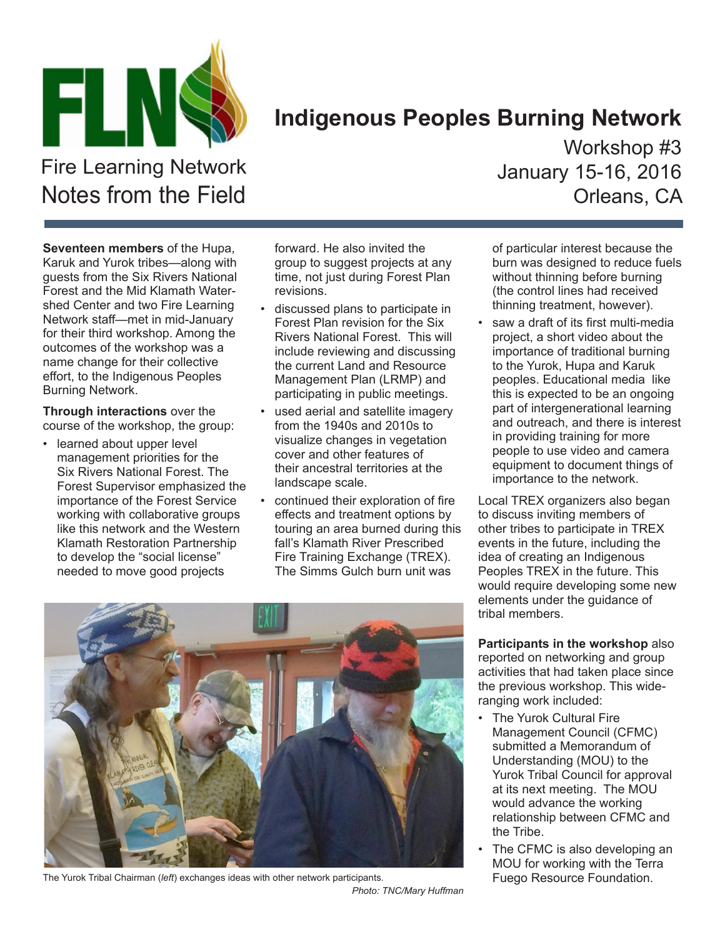

## **Indigenous Peoples Burning Network**

Fire Learning Network Notes from the Field

**Seventeen members** of the Hupa, Karuk and Yurok tribes—along with guests from the Six Rivers National Forest and the Mid Klamath Watershed Center and two Fire Learning Network staff—met in mid-January for their third workshop. Among the outcomes of the workshop was a name change for their collective effort, to the Indigenous Peoples Burning Network.

**Through interactions** over the course of the workshop, the group:

• learned about upper level management priorities for the Six Rivers National Forest. The Forest Supervisor emphasized the importance of the Forest Service working with collaborative groups like this network and the Western Klamath Restoration Partnership to develop the "social license" needed to move good projects

forward. He also invited the group to suggest projects at any time, not just during Forest Plan revisions.

- discussed plans to participate in Forest Plan revision for the Six Rivers National Forest. This will include reviewing and discussing the current Land and Resource Management Plan (LRMP) and participating in public meetings.
- used aerial and satellite imagery from the 1940s and 2010s to visualize changes in vegetation cover and other features of their ancestral territories at the landscape scale.
- continued their exploration of fire effects and treatment options by touring an area burned during this fall's Klamath River Prescribed Fire Training Exchange (TREX). The Simms Gulch burn unit was

Workshop #3 January 15-16, 2016 Orleans, CA

of particular interest because the burn was designed to reduce fuels without thinning before burning (the control lines had received thinning treatment, however).

saw a draft of its first multi-media project, a short video about the importance of traditional burning to the Yurok, Hupa and Karuk peoples. Educational media like this is expected to be an ongoing part of intergenerational learning and outreach, and there is interest in providing training for more people to use video and camera equipment to document things of importance to the network.

Local TREX organizers also began to discuss inviting members of other tribes to participate in TREX events in the future, including the idea of creating an Indigenous Peoples TREX in the future. This would require developing some new elements under the guidance of tribal members.

**Participants in the workshop** also reported on networking and group activities that had taken place since the previous workshop. This wideranging work included:

- The Yurok Cultural Fire Management Council (CFMC) submitted a Memorandum of Understanding (MOU) to the Yurok Tribal Council for approval at its next meeting. The MOU would advance the working relationship between CFMC and the Tribe.
- The CFMC is also developing an MOU for working with the Terra



The Yurok Tribal Chairman (*left*) exchanges ideas with other network participants. **Fundation** Fuego Resource Foundation.

*Photo: TNC/Mary Huffman*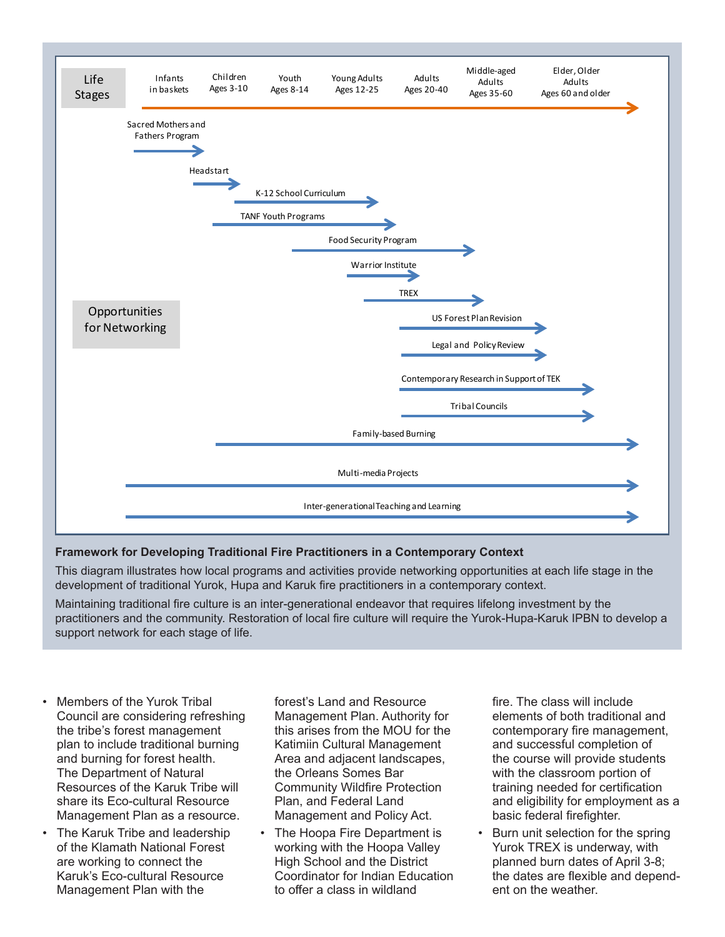

## **Framework for Developing Traditional Fire Practitioners in a Contemporary Context**

This diagram illustrates how local programs and activities provide networking opportunities at each life stage in the development of traditional Yurok, Hupa and Karuk fire practitioners in a contemporary context.

Maintaining traditional fire culture is an inter-generational endeavor that requires lifelong investment by the practitioners and the community. Restoration of local fire culture will require the Yurok-Hupa-Karuk IPBN to develop a support network for each stage of life.

- Members of the Yurok Tribal Council are considering refreshing the tribe's forest management plan to include traditional burning and burning for forest health. The Department of Natural Resources of the Karuk Tribe will share its Eco-cultural Resource Management Plan as a resource.
- The Karuk Tribe and leadership of the Klamath National Forest are working to connect the Karuk's Eco-cultural Resource Management Plan with the

forest's Land and Resource Management Plan. Authority for this arises from the MOU for the Katimiin Cultural Management Area and adjacent landscapes, the Orleans Somes Bar Community Wildfire Protection Plan, and Federal Land Management and Policy Act.

The Hoopa Fire Department is working with the Hoopa Valley High School and the District Coordinator for Indian Education to offer a class in wildland

fire. The class will include elements of both traditional and contemporary fire management, and successful completion of the course will provide students with the classroom portion of training needed for certification and eligibility for employment as a basic federal firefighter.

Burn unit selection for the spring Yurok TREX is underway, with planned burn dates of April 3-8; the dates are flexible and dependent on the weather.